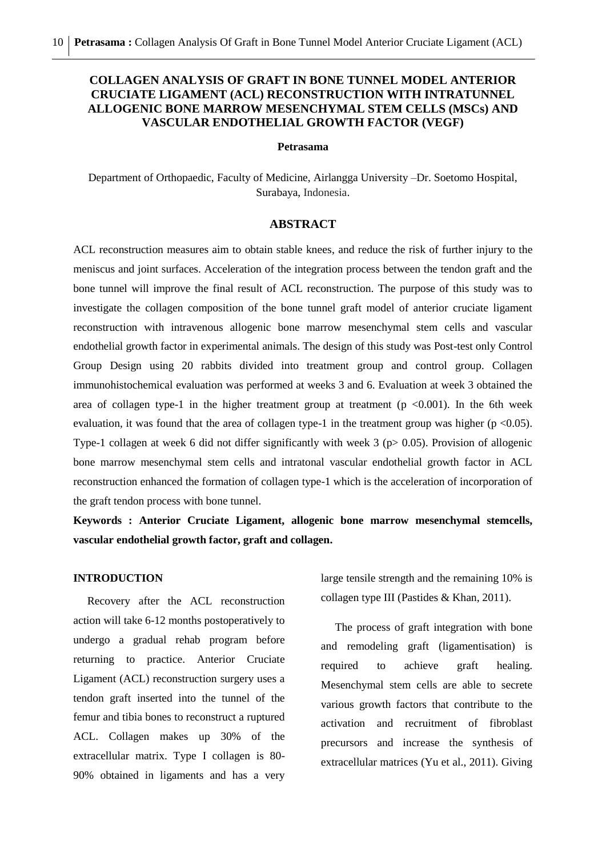# **COLLAGEN ANALYSIS OF GRAFT IN BONE TUNNEL MODEL ANTERIOR CRUCIATE LIGAMENT (ACL) RECONSTRUCTION WITH INTRATUNNEL ALLOGENIC BONE MARROW MESENCHYMAL STEM CELLS (MSCs) AND VASCULAR ENDOTHELIAL GROWTH FACTOR (VEGF)**

#### **Petrasama**

Department of Orthopaedic, Faculty of Medicine, Airlangga University –Dr. Soetomo Hospital, Surabaya, Indonesia.

#### **ABSTRACT**

ACL reconstruction measures aim to obtain stable knees, and reduce the risk of further injury to the meniscus and joint surfaces. Acceleration of the integration process between the tendon graft and the bone tunnel will improve the final result of ACL reconstruction. The purpose of this study was to investigate the collagen composition of the bone tunnel graft model of anterior cruciate ligament reconstruction with intravenous allogenic bone marrow mesenchymal stem cells and vascular endothelial growth factor in experimental animals. The design of this study was Post-test only Control Group Design using 20 rabbits divided into treatment group and control group. Collagen immunohistochemical evaluation was performed at weeks 3 and 6. Evaluation at week 3 obtained the area of collagen type-1 in the higher treatment group at treatment  $(p < 0.001)$ . In the 6th week evaluation, it was found that the area of collagen type-1 in the treatment group was higher ( $p < 0.05$ ). Type-1 collagen at week 6 did not differ significantly with week 3 ( $p > 0.05$ ). Provision of allogenic bone marrow mesenchymal stem cells and intratonal vascular endothelial growth factor in ACL reconstruction enhanced the formation of collagen type-1 which is the acceleration of incorporation of the graft tendon process with bone tunnel.

**Keywords : Anterior Cruciate Ligament, allogenic bone marrow mesenchymal stemcells, vascular endothelial growth factor, graft and collagen.**

# **INTRODUCTION**

 Recovery after the ACL reconstruction action will take 6-12 months postoperatively to undergo a gradual rehab program before returning to practice. Anterior Cruciate Ligament (ACL) reconstruction surgery uses a tendon graft inserted into the tunnel of the femur and tibia bones to reconstruct a ruptured ACL. Collagen makes up 30% of the extracellular matrix. Type I collagen is 80- 90% obtained in ligaments and has a very

large tensile strength and the remaining 10% is collagen type III (Pastides & Khan, 2011).

 The process of graft integration with bone and remodeling graft (ligamentisation) is required to achieve graft healing. Mesenchymal stem cells are able to secrete various growth factors that contribute to the activation and recruitment of fibroblast precursors and increase the synthesis of extracellular matrices (Yu et al., 2011). Giving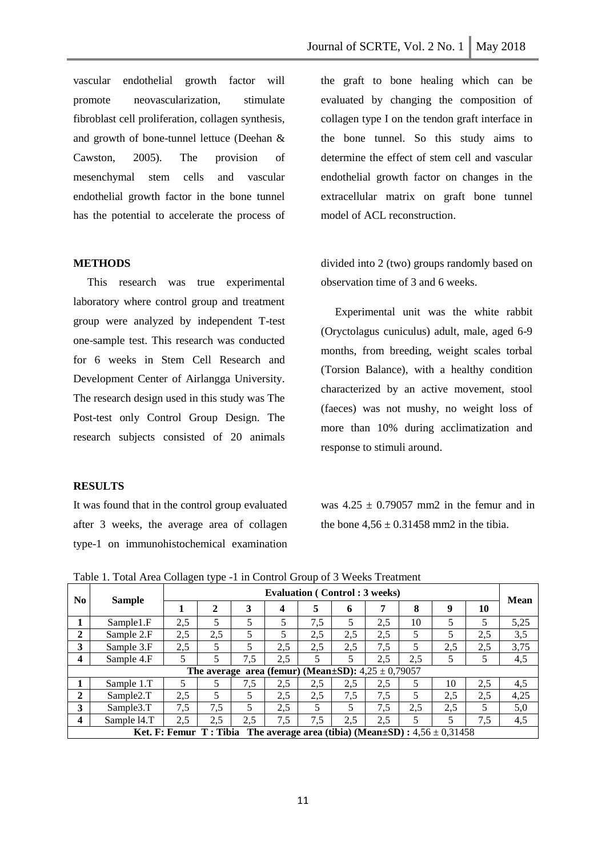vascular endothelial growth factor will promote neovascularization, stimulate fibroblast cell proliferation, collagen synthesis, and growth of bone-tunnel lettuce (Deehan & Cawston, 2005). The provision of mesenchymal stem cells and vascular endothelial growth factor in the bone tunnel has the potential to accelerate the process of

# **METHODS**

 This research was true experimental laboratory where control group and treatment group were analyzed by independent T-test one-sample test. This research was conducted for 6 weeks in Stem Cell Research and Development Center of Airlangga University. The research design used in this study was The Post-test only Control Group Design. The research subjects consisted of 20 animals

# **RESULTS**

It was found that in the control group evaluated after 3 weeks, the average area of collagen type-1 on immunohistochemical examination

the graft to bone healing which can be evaluated by changing the composition of collagen type I on the tendon graft interface in the bone tunnel. So this study aims to determine the effect of stem cell and vascular endothelial growth factor on changes in the extracellular matrix on graft bone tunnel model of ACL reconstruction.

divided into 2 (two) groups randomly based on observation time of 3 and 6 weeks.

 Experimental unit was the white rabbit (Oryctolagus cuniculus) adult, male, aged 6-9 months, from breeding, weight scales torbal (Torsion Balance), with a healthy condition characterized by an active movement, stool (faeces) was not mushy, no weight loss of more than 10% during acclimatization and response to stimuli around.

was  $4.25 \pm 0.79057$  mm2 in the femur and in the bone  $4,56 \pm 0.31458$  mm2 in the tibia.

| N <sub>0</sub>          | <b>Sample</b>         | <b>Evaluation (Control: 3 weeks)</b> |             |                          |                                                              |     |     |     |     |                                                                                      |     |      |
|-------------------------|-----------------------|--------------------------------------|-------------|--------------------------|--------------------------------------------------------------|-----|-----|-----|-----|--------------------------------------------------------------------------------------|-----|------|
|                         |                       |                                      | $\mathbf 2$ | 3                        | 4                                                            | 5   | 6   | 7   | 8   | 9                                                                                    | 10  | Mean |
|                         | Sample1.F             | 2,5                                  | 5           | $\overline{\phantom{0}}$ | 5                                                            | 7,5 | 5   | 2,5 | 10  | 5                                                                                    | 5   | 5,25 |
| $\overline{2}$          | Sample 2.F            | 2,5                                  | 2,5         | 5                        | 5                                                            | 2,5 | 2,5 | 2,5 | 5   | 5                                                                                    | 2,5 | 3,5  |
| 3                       | Sample 3.F            | 2,5                                  | 5           | 5                        | 2,5                                                          | 2,5 | 2,5 | 7,5 | 5   | 2,5                                                                                  | 2,5 | 3,75 |
| $\overline{\mathbf{4}}$ | Sample 4.F            | 5                                    | 5           | 7,5                      | 2,5                                                          | 5   | 5   | 2,5 | 2,5 | 5                                                                                    | 5   | 4,5  |
|                         |                       |                                      |             |                          | The average area (femur) (Mean $\pm$ SD): $4.25 \pm 0.79057$ |     |     |     |     |                                                                                      |     |      |
|                         | Sample 1.T            | 5                                    | 5           | 7,5                      | 2,5                                                          | 2.5 | 2.5 | 2,5 | 5   | 10                                                                                   | 2.5 | 4,5  |
| $\mathbf{2}$            | Sample <sub>2.T</sub> | 2,5                                  | 5           | 5                        | 2,5                                                          | 2,5 | 7,5 | 7,5 | 5   | 2,5                                                                                  | 2,5 | 4,25 |
| 3                       | Sample3.T             | 7,5                                  | 7.5         | 5                        | 2,5                                                          | 5   | 5   | 7,5 | 2,5 | 2,5                                                                                  | 5   | 5,0  |
| $\overline{\mathbf{4}}$ | Sample 14.T           | 2,5                                  | 2,5         | 2,5                      | 7,5                                                          | 7,5 | 2,5 | 2,5 | 5   | 5                                                                                    | 7,5 | 4,5  |
|                         |                       |                                      |             |                          |                                                              |     |     |     |     | Ket. F: Femur T: Tibia The average area (tibia) (Mean $\pm SD$ ): $4,56 \pm 0,31458$ |     |      |

Table 1. Total Area Collagen type -1 in Control Group of 3 Weeks Treatment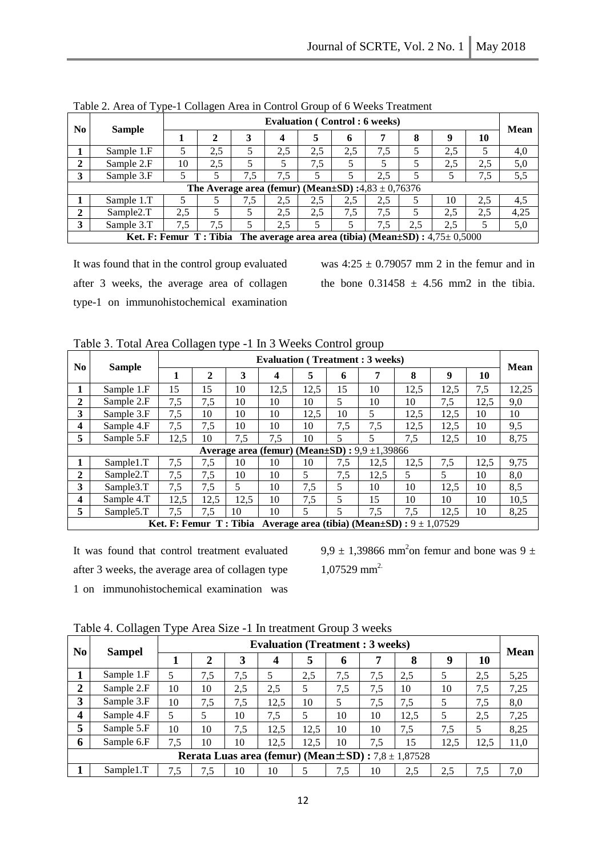| N <sub>0</sub> | <b>Sample</b>                                                                            | <b>Evaluation (Control: 6 weeks)</b> |     |     |                  |     |     |     |     |     |     |             |  |
|----------------|------------------------------------------------------------------------------------------|--------------------------------------|-----|-----|------------------|-----|-----|-----|-----|-----|-----|-------------|--|
|                |                                                                                          |                                      |     |     | $\boldsymbol{4}$ | 5   | 6   | 7   | 8   | -9  | 10  | <b>Mean</b> |  |
|                | Sample 1.F                                                                               | 5                                    | 2,5 |     | 2,5              | 2.5 | 2,5 | 7,5 | 5   | 2.5 |     | 4,0         |  |
| $\mathbf{2}$   | Sample 2.F                                                                               | 10                                   | 2.5 |     |                  | 7.5 |     |     |     | 2.5 | 2.5 | 5,0         |  |
| 3              | Sample 3.F                                                                               |                                      |     | 7,5 | 7,5              |     |     | 2,5 |     |     | 7,5 | 5,5         |  |
|                | The Average area (femur) (Mean±SD) :4,83 ± 0,76376                                       |                                      |     |     |                  |     |     |     |     |     |     |             |  |
|                | Sample 1.T                                                                               |                                      |     | 7.5 | 2.5              | 2.5 | 2.5 | 2,5 |     | 10  | 2.5 | 4,5         |  |
| $\overline{2}$ | Sample <sub>2.T</sub>                                                                    | 2.5                                  |     |     | 2.5              | 2,5 | 7,5 | 7,5 |     | 2.5 | 2.5 | 4,25        |  |
| 3              | Sample 3.T                                                                               | 7.5                                  | 7.5 | 5   | 2.5              |     |     | 7.5 | 2,5 | 2.5 |     | 5,0         |  |
|                | Ket. F: Femur T: Tibia The average area area (tibia) (Mean $\pm$ SD) : 4,75 $\pm$ 0,5000 |                                      |     |     |                  |     |     |     |     |     |     |             |  |

Table 2. Area of Type-1 Collagen Area in Control Group of 6 Weeks Treatment

It was found that in the control group evaluated after 3 weeks, the average area of collagen type-1 on immunohistochemical examination was  $4:25 \pm 0.79057$  mm 2 in the femur and in the bone  $0.31458 \pm 4.56$  mm2 in the tibia.

| N <sub>0</sub>                                            |                       | <b>Evaluation (Treatment: 3 weeks)</b> |                |      |      |      |     |                                                         |      |      | <b>Mean</b> |       |
|-----------------------------------------------------------|-----------------------|----------------------------------------|----------------|------|------|------|-----|---------------------------------------------------------|------|------|-------------|-------|
|                                                           | <b>Sample</b>         | 1                                      | $\overline{2}$ | 3    | 4    | 5    | 6   | 7                                                       | 8    | 9    | 10          |       |
|                                                           | Sample 1.F            | 15                                     | 15             | 10   | 12,5 | 12,5 | 15  | 10                                                      | 12,5 | 12,5 | 7,5         | 12,25 |
| $\mathbf{2}$                                              | Sample 2.F            | 7,5                                    | 7,5            | 10   | 10   | 10   | 5   | 10                                                      | 10   | 7,5  | 12,5        | 9,0   |
| 3                                                         | Sample 3.F            | 7,5                                    | 10             | 10   | 10   | 12,5 | 10  | 5                                                       | 12,5 | 12.5 | 10          | 10    |
| 4                                                         | Sample 4.F            | 7,5                                    | 7,5            | 10   | 10   | 10   | 7,5 | 7,5                                                     | 12,5 | 12.5 | 10          | 9,5   |
| 5                                                         | Sample 5.F            | 12,5                                   | 10             | 7,5  | 7,5  | 10   | 5   | 5                                                       | 7,5  | 12,5 | 10          | 8,75  |
| Average area (femur) (Mean $\pm SD$ ) : 9,9 $\pm 1,39866$ |                       |                                        |                |      |      |      |     |                                                         |      |      |             |       |
|                                                           | Sample1.T             | 7,5                                    | 7,5            | 10   | 10   | 10   | 7,5 | 12,5                                                    | 12,5 | 7,5  | 12,5        | 9,75  |
| $\mathbf{2}$                                              | Sample <sub>2.T</sub> | 7,5                                    | 7,5            | 10   | 10   | 5    | 7,5 | 12,5                                                    | 5    | 5    | 10          | 8,0   |
| 3                                                         | Sample3.T             | 7,5                                    | 7,5            | 5    | 10   | 7,5  | 5.  | 10                                                      | 10   | 12.5 | 10          | 8,5   |
| 4                                                         | Sample 4.T            | 12,5                                   | 12,5           | 12,5 | 10   | 7,5  | 5   | 15                                                      | 10   | 10   | 10          | 10,5  |
| 5                                                         | Sample5.T             | 7,5                                    | 7,5            | 10   | 10   | 5    | 5   | 7.5                                                     | 7.5  | 12.5 | 10          | 8,25  |
|                                                           |                       | Ket. F: Femur T: Tibia                 |                |      |      |      |     | Average area (tibia) (Mean $\pm SD$ ) : $9 \pm 1,07529$ |      |      |             |       |

Table 3. Total Area Collagen type -1 In 3 Weeks Control group

It was found that control treatment evaluated after 3 weeks, the average area of collagen type 1 on immunohistochemical examination was

 $9.9 \pm 1,39866$  mm<sup>2</sup>on femur and bone was  $9 \pm 1$ 1,07529 mm<sup>2.</sup>

| N <sub>0</sub> |                                                              |          |     |     | <b>Evaluation (Treatment: 3 weeks)</b> |      |     |     |      |      |      |             |  |
|----------------|--------------------------------------------------------------|----------|-----|-----|----------------------------------------|------|-----|-----|------|------|------|-------------|--|
|                | <b>Sampel</b>                                                |          | 2   | 3   | 4                                      | 5    | 6   |     | 8    | 9    | 10   | <b>Mean</b> |  |
|                | Sample 1.F                                                   | 5        | 7.5 | 7.5 | 5                                      | 2,5  | 7,5 | 7,5 | 2.5  |      | 2,5  | 5,25        |  |
| $\overline{2}$ | Sample 2.F                                                   | 10       | 10  | 2.5 | 2,5                                    |      | 7,5 | 7,5 | 10   | 10   | 7.5  | 7,25        |  |
| 3              | Sample 3.F                                                   | 10       | 7,5 | 7,5 | 12,5                                   | 10   | 5   | 7,5 | 7,5  |      | 7,5  | 8,0         |  |
| 4              | Sample 4.F                                                   | 5        |     | 10  | 7.5                                    |      | 10  | 10  | 12,5 |      | 2,5  | 7,25        |  |
| 5              | Sample 5.F                                                   | 10       | 10  | 7.5 | 12,5                                   | 12.5 | 10  | 10  | 7,5  | 7.5  |      | 8,25        |  |
| 6              | Sample 6.F                                                   | 7,5      | 10  | 10  | 12,5                                   | 12,5 | 10  | 7,5 | 15   | 12,5 | 12,5 | 11,0        |  |
|                | Rerata Luas area (femur) (Mean $\pm$ SD) : 7,8 $\pm$ 1,87528 |          |     |     |                                        |      |     |     |      |      |      |             |  |
|                | Sample1.T                                                    | 7<br>1.5 | 7.5 | 10  | 10                                     |      | 7,5 | 10  | 2.5  | 2,5  | 7.5  | 7,0         |  |

Table 4. Collagen Type Area Size -1 In treatment Group 3 weeks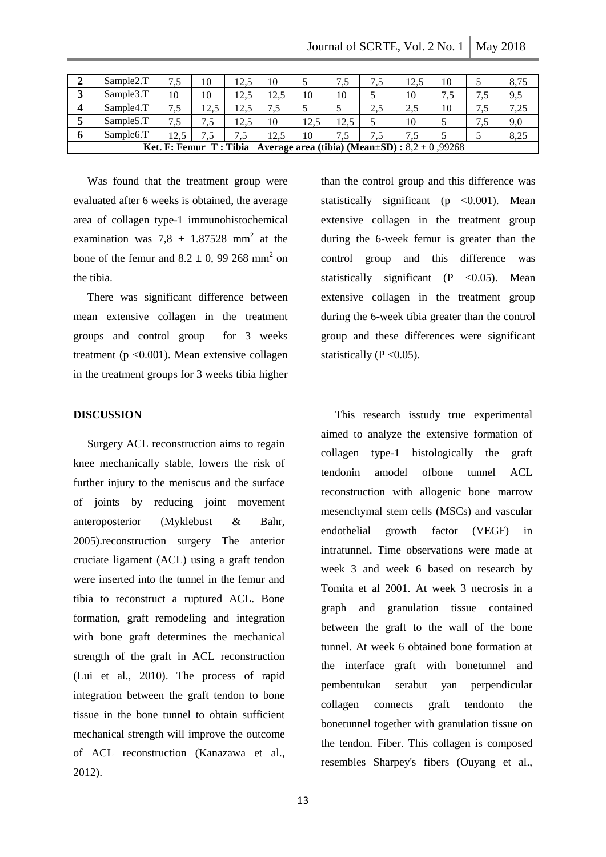| ◢                       | Sample <sub>2.T</sub>                                                                | 7.5  | 10   | 12.5 | 10   |      | 7,5  | 7,5 | 12.5 | 10 |     | 8.75 |
|-------------------------|--------------------------------------------------------------------------------------|------|------|------|------|------|------|-----|------|----|-----|------|
|                         | Sample3.T                                                                            | 10   | 10   | 12.5 | 12.5 | 10   | 10   |     | 10   |    | 7,5 | 9,5  |
| $\overline{\mathbf{4}}$ | Sample4.T                                                                            | 7,5  | 12.5 | 12.5 | 7    |      |      | 2.5 | 2.5  | 10 | 7.5 | 7,25 |
|                         | Sample <sub>5.T</sub>                                                                | 7,5  | 7.5  | 12.5 | 10   | 12.5 | 12.5 |     | 10   |    | 7,5 | 9,0  |
| o                       | Sample <sub>6.T</sub>                                                                | 12.5 |      |      | 12.5 | 10   | 7,5  | 7,5 |      |    |     | 8,25 |
|                         | Ket. F: Femur T: Tibia<br>Average area (tibia) (Mean $\pm SD$ ) : 8,2 $\pm$ 0 ,99268 |      |      |      |      |      |      |     |      |    |     |      |

 Was found that the treatment group were evaluated after 6 weeks is obtained, the average area of collagen type-1 immunohistochemical examination was  $7.8 \pm 1.87528$  mm<sup>2</sup> at the bone of the femur and  $8.2 \pm 0$ , 99 268 mm<sup>2</sup> on the tibia.

 There was significant difference between mean extensive collagen in the treatment groups and control group for 3 weeks treatment ( $p < 0.001$ ). Mean extensive collagen in the treatment groups for 3 weeks tibia higher

# **DISCUSSION**

 Surgery ACL reconstruction aims to regain knee mechanically stable, lowers the risk of further injury to the meniscus and the surface of joints by reducing joint movement anteroposterior (Myklebust & Bahr, 2005).reconstruction surgery The anterior cruciate ligament (ACL) using a graft tendon were inserted into the tunnel in the femur and tibia to reconstruct a ruptured ACL. Bone formation, graft remodeling and integration with bone graft determines the mechanical strength of the graft in ACL reconstruction (Lui et al., 2010). The process of rapid integration between the graft tendon to bone tissue in the bone tunnel to obtain sufficient mechanical strength will improve the outcome of ACL reconstruction (Kanazawa et al., 2012).

than the control group and this difference was statistically significant ( $p \lt 0.001$ ). Mean extensive collagen in the treatment group during the 6-week femur is greater than the control group and this difference was statistically significant  $(P \le 0.05)$ . Mean extensive collagen in the treatment group during the 6-week tibia greater than the control group and these differences were significant statistically  $(P \le 0.05)$ .

 This research isstudy true experimental aimed to analyze the extensive formation of collagen type-1 histologically the graft tendonin amodel ofbone tunnel ACL reconstruction with allogenic bone marrow mesenchymal stem cells (MSCs) and vascular endothelial growth factor (VEGF) in intratunnel. Time observations were made at week 3 and week 6 based on research by Tomita et al 2001. At week 3 necrosis in a graph and granulation tissue contained between the graft to the wall of the bone tunnel. At week 6 obtained bone formation at the interface graft with bonetunnel and pembentukan serabut yan perpendicular collagen connects graft tendonto the bonetunnel together with granulation tissue on the tendon. Fiber. This collagen is composed resembles Sharpey's fibers (Ouyang et al.,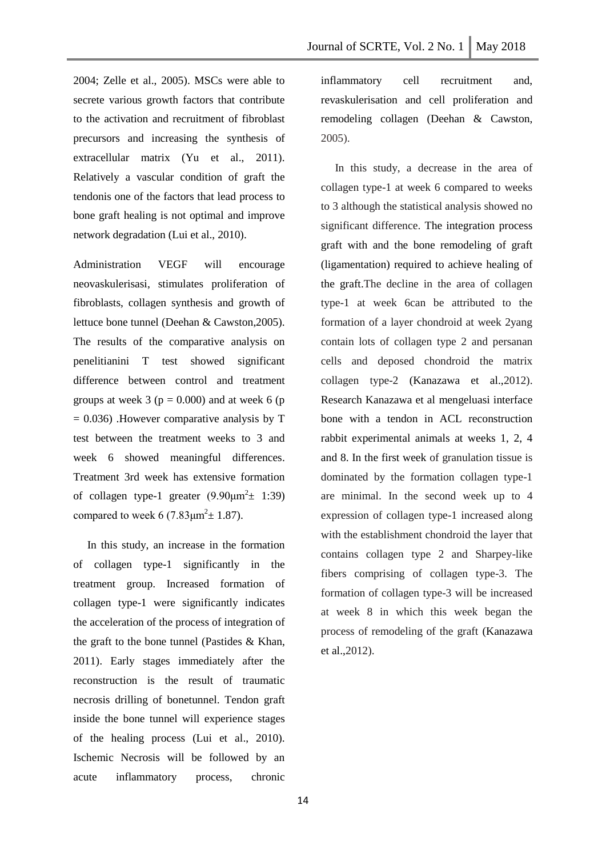2004; Zelle et al., 2005). MSCs were able to secrete various growth factors that contribute to the activation and recruitment of fibroblast precursors and increasing the synthesis of extracellular matrix (Yu et al., 2011). Relatively a vascular condition of graft the tendonis one of the factors that lead process to bone graft healing is not optimal and improve network degradation (Lui et al., 2010).

Administration VEGF will encourage neovaskulerisasi, stimulates proliferation of fibroblasts, collagen synthesis and growth of lettuce bone tunnel (Deehan & Cawston,2005). The results of the comparative analysis on penelitianini T test showed significant difference between control and treatment groups at week 3 ( $p = 0.000$ ) and at week 6 ( $p = 0.000$ )  $= 0.036$ ). However comparative analysis by T test between the treatment weeks to 3 and week 6 showed meaningful differences. Treatment 3rd week has extensive formation of collagen type-1 greater  $(9.90 \mu m^2 \pm 1.39)$ compared to week 6 (7.83 $\mu$ m<sup>2</sup> ± 1.87).

 In this study, an increase in the formation of collagen type-1 significantly in the treatment group. Increased formation of collagen type-1 were significantly indicates the acceleration of the process of integration of the graft to the bone tunnel (Pastides & Khan, 2011). Early stages immediately after the reconstruction is the result of traumatic necrosis drilling of bonetunnel. Tendon graft inside the bone tunnel will experience stages of the healing process (Lui et al., 2010). Ischemic Necrosis will be followed by an acute inflammatory process, chronic

inflammatory cell recruitment and, revaskulerisation and cell proliferation and remodeling collagen (Deehan & Cawston, 2005).

 In this study, a decrease in the area of collagen type-1 at week 6 compared to weeks to 3 although the statistical analysis showed no significant difference. The integration process graft with and the bone remodeling of graft (ligamentation) required to achieve healing of the graft.The decline in the area of collagen type-1 at week 6can be attributed to the formation of a layer chondroid at week 2yang contain lots of collagen type 2 and persanan cells and deposed chondroid the matrix collagen type-2 (Kanazawa et al.,2012). Research Kanazawa et al mengeluasi interface bone with a tendon in ACL reconstruction rabbit experimental animals at weeks 1, 2, 4 and 8. In the first week of granulation tissue is dominated by the formation collagen type-1 are minimal. In the second week up to 4 expression of collagen type-1 increased along with the establishment chondroid the layer that contains collagen type 2 and Sharpey-like fibers comprising of collagen type-3. The formation of collagen type-3 will be increased at week 8 in which this week began the process of remodeling of the graft (Kanazawa et al.,2012).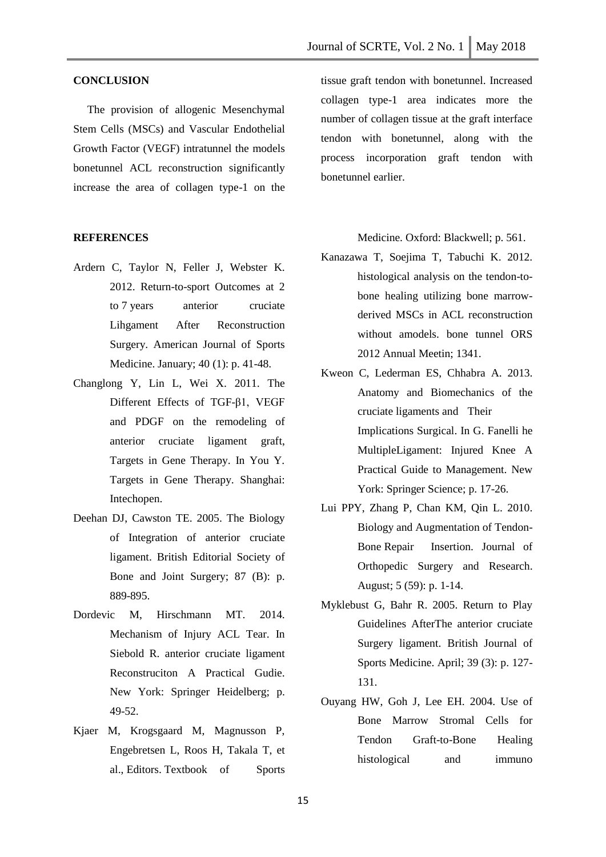# **CONCLUSION**

 The provision of allogenic Mesenchymal Stem Cells (MSCs) and Vascular Endothelial Growth Factor (VEGF) intratunnel the models bonetunnel ACL reconstruction significantly increase the area of collagen type-1 on the

#### **REFERENCES**

- Ardern C, Taylor N, Feller J, Webster K. 2012. Return-to-sport Outcomes at 2 to 7 years anterior cruciate Lihgament After Reconstruction Surgery. American Journal of Sports Medicine. January; 40 (1): p. 41-48.
- Changlong Y, Lin L, Wei X. 2011. The Different Effects of TGF-β1, VEGF and PDGF on the remodeling of anterior cruciate ligament graft, Targets in Gene Therapy. In You Y. Targets in Gene Therapy. Shanghai: Intechopen.
- Deehan DJ, Cawston TE. 2005. The Biology of Integration of anterior cruciate ligament. British Editorial Society of Bone and Joint Surgery; 87 (B): p. 889-895.
- Dordevic M, Hirschmann MT. 2014. Mechanism of Injury ACL Tear. In Siebold R. anterior cruciate ligament Reconstruciton A Practical Gudie. New York: Springer Heidelberg; p. 49-52.
- Kjaer M, Krogsgaard M, Magnusson P, Engebretsen L, Roos H, Takala T, et al., Editors. Textbook of Sports

tissue graft tendon with bonetunnel. Increased collagen type-1 area indicates more the number of collagen tissue at the graft interface tendon with bonetunnel, along with the process incorporation graft tendon with bonetunnel earlier.

Medicine. Oxford: Blackwell; p. 561.

- Kanazawa T, Soejima T, Tabuchi K. 2012. histological analysis on the tendon-tobone healing utilizing bone marrowderived MSCs in ACL reconstruction without amodels. bone tunnel ORS 2012 Annual Meetin; 1341.
- Kweon C, Lederman ES, Chhabra A. 2013. Anatomy and Biomechanics of the cruciate ligaments and Their Implications Surgical. In G. Fanelli he MultipleLigament: Injured Knee A Practical Guide to Management. New York: Springer Science; p. 17-26.
- Lui PPY, Zhang P, Chan KM, Qin L. 2010. Biology and Augmentation of Tendon-Bone Repair Insertion. Journal of Orthopedic Surgery and Research. August; 5 (59): p. 1-14.
- Myklebust G, Bahr R. 2005. Return to Play Guidelines AfterThe anterior cruciate Surgery ligament. British Journal of Sports Medicine. April; 39 (3): p. 127- 131.
- Ouyang HW, Goh J, Lee EH. 2004. Use of Bone Marrow Stromal Cells for Tendon Graft-to-Bone Healing histological and immuno